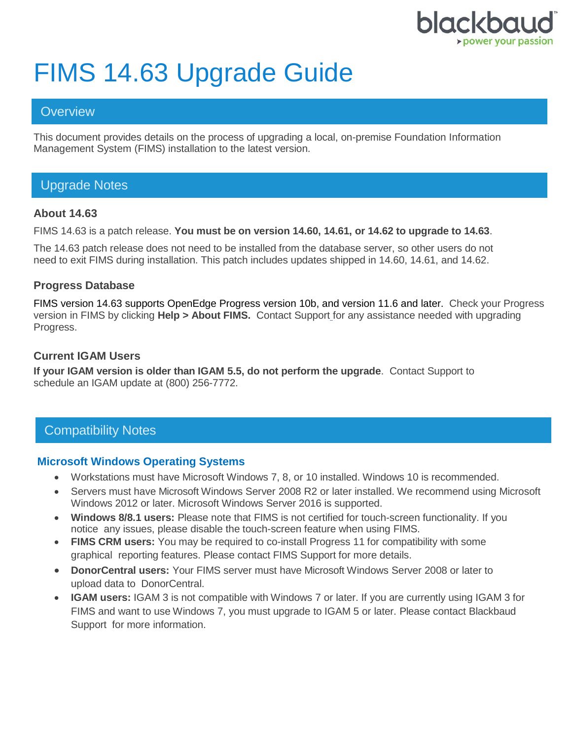

# FIMS 14.63 Upgrade Guide

## **Overview**

This document provides details on the process of upgrading a local, on-premise Foundation Information Management System (FIMS) installation to the latest version.

# Upgrade Notes

#### **About 14.63**

FIMS 14.63 is a patch release. **You must be on version 14.60, 14.61, or 14.62 to upgrade to 14.63**.

The 14.63 patch release does not need to be installed from the database server, so other users do not need to exit FIMS during installation. This patch includes updates shipped in 14.60, 14.61, and 14.62.

#### **Progress Database**

FIMS version 14.63 supports OpenEdge Progress version 10b, and version 11.6 and later. Check your Progress version in FIMS by clicking **Help > About FIMS.** Contact Support for any assistance needed with upgrading Progress.

#### **Current IGAM Users**

**If your IGAM version is older than IGAM 5.5, do not perform the upgrade**. Contact Support to schedule an IGAM update at (800) 256-7772.

# Compatibility Notes

#### **Microsoft Windows Operating Systems**

- Workstations must have Microsoft Windows 7, 8, or 10 installed. Windows 10 is recommended.
- Servers must have Microsoft Windows Server 2008 R2 or later installed. We recommend using Microsoft Windows 2012 or later. Microsoft Windows Server 2016 is supported.
- **Windows 8/8.1 users:** Please note that FIMS is not certified for touch-screen functionality. If you notice any issues, please disable the touch-screen feature when using FIMS.
- **FIMS CRM users:** You may be required to co-install Progress 11 for compatibility with some graphical reporting features. Please contact FIMS Support for more details.
- **DonorCentral users:** Your FIMS server must have Microsoft Windows Server 2008 or later to upload data to DonorCentral.
- **IGAM users:** IGAM 3 is not compatible with Windows 7 or later. If you are currently using IGAM 3 for FIMS and want to use Windows 7, you must upgrade to IGAM 5 or later. Please contact Blackbaud Support for more information.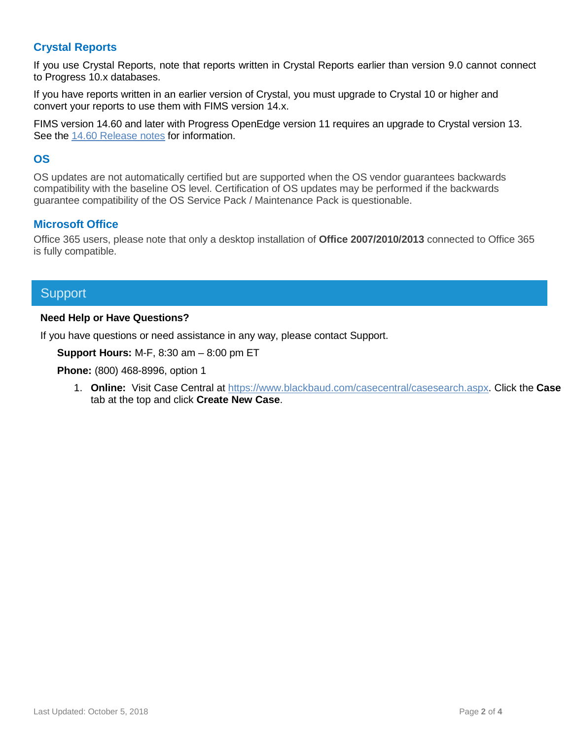### **Crystal Reports**

If you use Crystal Reports, note that reports written in Crystal Reports earlier than version 9.0 cannot connect to Progress 10.x databases.

If you have reports written in an earlier version of Crystal, you must upgrade to Crystal 10 or higher and convert your reports to use them with FIMS version 14.x.

FIMS version 14.60 and later with Progress OpenEdge version 11 requires an upgrade to Crystal version 13. See the 14.60 [Release notes](https://www.blackbaud.com/files/support/guides/microedge/fims/fims1460update_releasenotes.pdf) for information.

#### **OS**

OS updates are not automatically certified but are supported when the OS vendor guarantees backwards compatibility with the baseline OS level. Certification of OS updates may be performed if the backwards guarantee compatibility of the OS Service Pack / Maintenance Pack is questionable.

#### **Microsoft Office**

Office 365 users, please note that only a desktop installation of **Office 2007/2010/2013** connected to Office 365 is fully compatible.

## **Support**

#### **Need Help or Have Questions?**

If you have questions or need assistance in any way, please contact Support.

**Support Hours:** M-F, 8:30 am – 8:00 pm ET

**Phone:** (800) 468-8996, option 1

1. **Online:** Visit Case Central at [https://www.blackbaud.com/casecentral/casesearch.aspx.](https://www.blackbaud.com/casecentral/casesearch.aspx) Click the **Case** tab at the top and click **Create New Case**.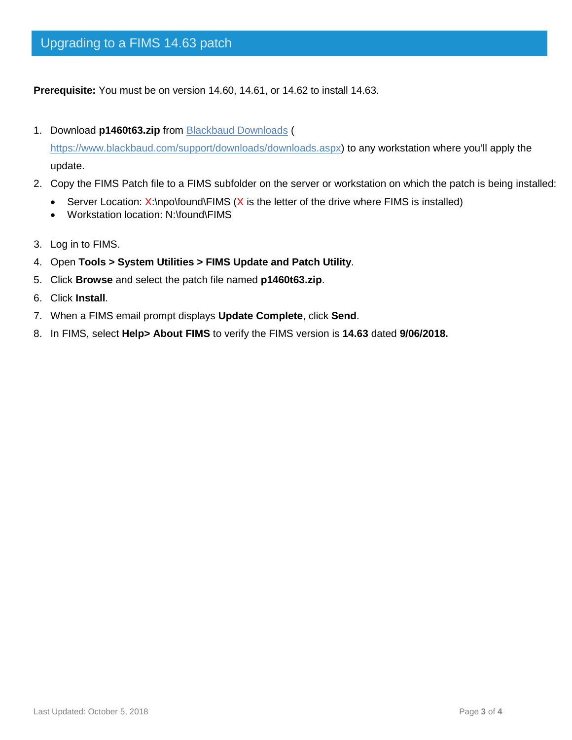**Prerequisite:** You must be on version 14.60, 14.61, or 14.62 to install 14.63.

1. Download **p1460t63.zip** from [Blackbaud Downloads](https://www.blackbaud.com/support/downloads/downloads.aspx) (

[https://www.blackbaud.com/support/downloads/downloads.aspx\)](https://www.blackbaud.com/support/downloads/downloads.aspx) to any workstation where you'll apply the update.

- 2. Copy the FIMS Patch file to a FIMS subfolder on the server or workstation on which the patch is being installed:
	- Server Location:  $X:\n\rho\to W$  is the letter of the drive where FIMS is installed)
	- Workstation location: N:\found\FIMS
- 3. Log in to FIMS.
- 4. Open **Tools > System Utilities > FIMS Update and Patch Utility**.
- 5. Click **Browse** and select the patch file named **p1460t63.zip**.
- 6. Click **Install**.
- 7. When a FIMS email prompt displays **Update Complete**, click **Send**.
- 8. In FIMS, select **Help> About FIMS** to verify the FIMS version is **14.63** dated **9/06/2018.**